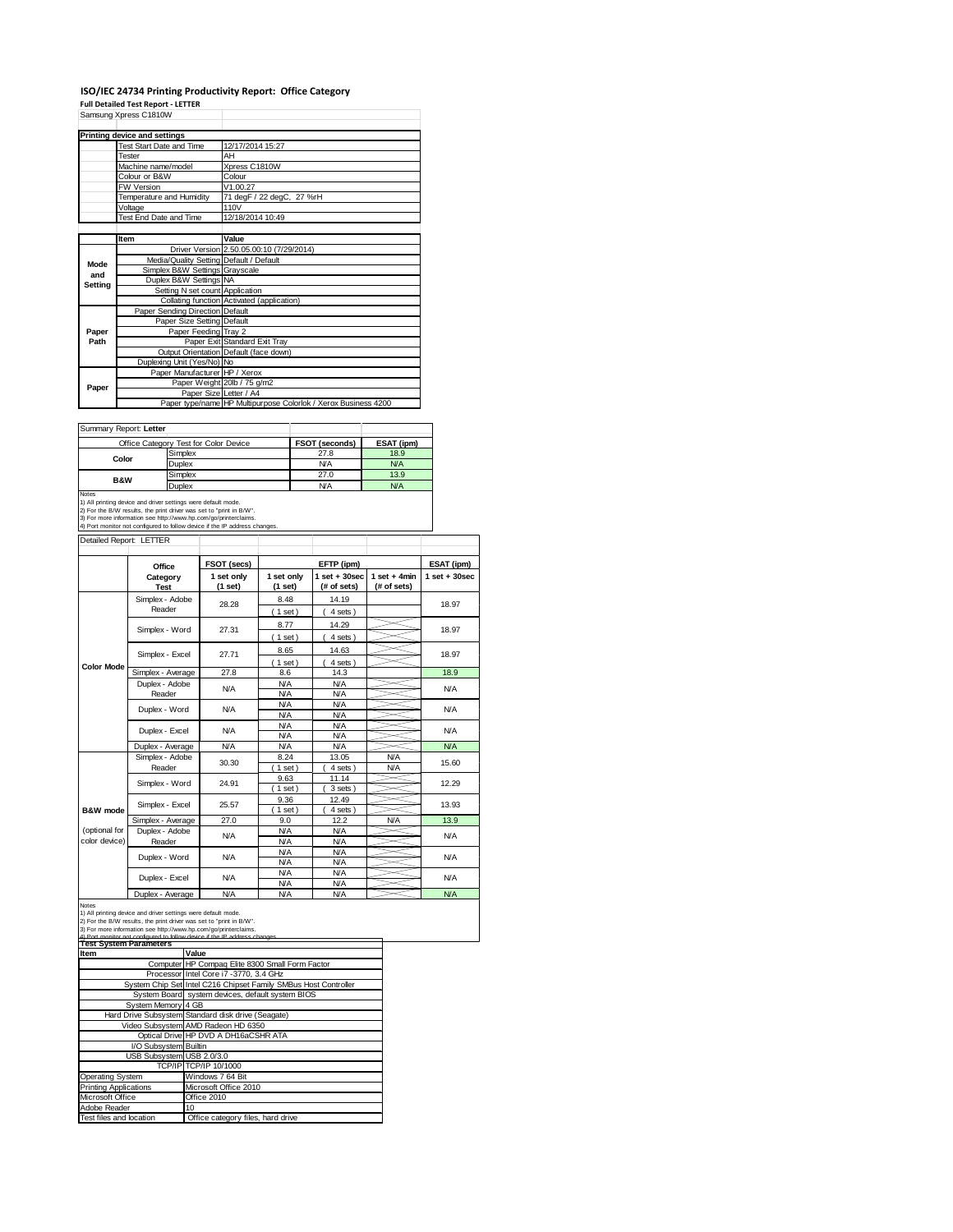## **ISO/IEC 24734 Printing Productivity Report: Office Category Full Detailed Test Report ‐ LETTER**

|         | Samsung Xpress C1810W                   |                                                                |  |  |
|---------|-----------------------------------------|----------------------------------------------------------------|--|--|
|         | Printing device and settings            |                                                                |  |  |
|         | Test Start Date and Time                | 12/17/2014 15:27                                               |  |  |
|         | Tester                                  | AH                                                             |  |  |
|         | Machine name/model                      | Xpress C1810W                                                  |  |  |
|         | Colour or B&W                           | Colour                                                         |  |  |
|         | <b>FW Version</b>                       | V1.00.27                                                       |  |  |
|         | Temperature and Humidity                | 71 degF / 22 degC, 27 %rH                                      |  |  |
|         | Voltage                                 | 110V                                                           |  |  |
|         | Test End Date and Time                  | 12/18/2014 10:49                                               |  |  |
|         |                                         |                                                                |  |  |
|         | <b>Item</b>                             | Value                                                          |  |  |
|         |                                         | Driver Version 2.50.05.00:10 (7/29/2014)                       |  |  |
| Mode    | Media/Quality Setting Default / Default |                                                                |  |  |
| and     | Simplex B&W Settings Grayscale          |                                                                |  |  |
| Setting | Duplex B&W Settings NA                  |                                                                |  |  |
|         | Setting N set count Application         |                                                                |  |  |
|         |                                         | Collating function Activated (application)                     |  |  |
|         | Paper Sending Direction Default         |                                                                |  |  |
|         | Paper Size Setting Default              |                                                                |  |  |
| Paper   | Paper Feeding Tray 2                    |                                                                |  |  |
| Path    |                                         | Paper Exit Standard Exit Tray                                  |  |  |
|         |                                         | Output Orientation Default (face down)                         |  |  |
|         | Duplexing Unit (Yes/No) No              |                                                                |  |  |
|         | Paper Manufacturer HP / Xerox           |                                                                |  |  |
| Paper   |                                         | Paper Weight 20lb / 75 g/m2                                    |  |  |
|         | Paper Size Letter / A4                  |                                                                |  |  |
|         |                                         | Paper type/name HP Multipurpose Colorlok / Xerox Business 4200 |  |  |

Summary Report: **Letter**

| <b>JUILLIALY REDUIT.</b> LETTER                                            |                                       |                       |            |  |  |
|----------------------------------------------------------------------------|---------------------------------------|-----------------------|------------|--|--|
|                                                                            | Office Category Test for Color Device | <b>FSOT (seconds)</b> | ESAT (ipm) |  |  |
| Color                                                                      | Simplex                               | 27.8                  | 18.9       |  |  |
|                                                                            | <b>Duplex</b>                         | <b>N/A</b>            | <b>N/A</b> |  |  |
| <b>B&amp;W</b>                                                             | Simplex                               | 27.0                  | 13.9       |  |  |
|                                                                            | <b>Duplex</b>                         | <b>N/A</b>            | <b>N/A</b> |  |  |
| <b>Notes</b>                                                               |                                       |                       |            |  |  |
| 1) All printing device and driver settings were default mode.              |                                       |                       |            |  |  |
| 2) For the B/W results, the print driver was set to "print in B/W".        |                                       |                       |            |  |  |
| 3) For more information see http://www.hp.com/go/printerclaims.            |                                       |                       |            |  |  |
| 4) Port monitor not configured to follow device if the IP address changes. |                                       |                       |            |  |  |

| Detailed Report: LETTER        |                           |                         |                          |                                  |                               |                   |
|--------------------------------|---------------------------|-------------------------|--------------------------|----------------------------------|-------------------------------|-------------------|
|                                | Office                    | FSOT (secs)             |                          | EFTP (ipm)                       |                               | ESAT (ipm)        |
|                                | Category<br><b>Test</b>   | 1 set only<br>$(1$ set) | 1 set only<br>(1 set)    | $1$ set $+30$ sec<br>(# of sets) | $1$ set + 4min<br>(# of sets) | $1$ set $+30$ sec |
|                                | Simplex - Adobe<br>Reader | 28.28                   | 8.48<br>(1 set)          | 14.19<br>4 sets)                 |                               | 18.97             |
|                                | Simplex - Word            | 27.31                   | 8.77<br>$1$ set)         | 14.29<br>4 sets )                |                               | 18.97             |
|                                | Simplex - Excel<br>27.71  | 8.65<br>$1$ set)        | 14.63<br>4 sets)         |                                  | 18.97                         |                   |
| <b>Color Mode</b>              | Simplex - Average         | 27.8                    | 8.6                      | 14.3                             |                               | 18.9              |
|                                | Duplex - Adobe<br>Reader  | <b>N/A</b>              | <b>N/A</b><br><b>N/A</b> | <b>N/A</b><br><b>N/A</b>         |                               | <b>N/A</b>        |
|                                | Duplex - Word             | N/A                     | <b>N/A</b><br><b>N/A</b> | <b>N/A</b><br><b>N/A</b>         |                               | <b>N/A</b>        |
|                                | Duplex - Excel            | <b>N/A</b>              | <b>N/A</b><br><b>N/A</b> | <b>N/A</b><br><b>N/A</b>         |                               | <b>N/A</b>        |
|                                | Duplex - Average          | <b>N/A</b>              | <b>N/A</b>               | <b>N/A</b>                       |                               | <b>N/A</b>        |
|                                | Simplex - Adobe<br>Reader | 30.30                   | 8.24<br>$1$ set)         | 13.05<br>4 sets)                 | <b>N/A</b><br><b>N/A</b>      | 15.60             |
|                                | Simplex - Word            | 24.91                   | 9.63<br>$1$ set)         | 11.14<br>3 sets)                 |                               | 12.29             |
| B&W mode                       | Simplex - Excel           | 25.57                   | 9.36<br>$1$ set)         | 12.49<br>4 sets)                 |                               | 13.93             |
|                                | Simplex - Average         | 27.0                    | 9.0                      | 12.2                             | N/A                           | 13.9              |
| (optional for<br>color device) | Duplex - Adobe<br>Reader  | <b>N/A</b>              | <b>N/A</b><br><b>N/A</b> | <b>N/A</b><br><b>N/A</b>         |                               | <b>N/A</b>        |
|                                | Duplex - Word             | N/A                     | <b>N/A</b><br><b>N/A</b> | <b>N/A</b><br><b>N/A</b>         |                               | <b>N/A</b>        |
|                                | Duplex - Excel            | <b>N/A</b>              | <b>N/A</b><br><b>N/A</b> | <b>N/A</b><br><b>N/A</b>         |                               | <b>N/A</b>        |
|                                | Dualett Armanan           | <b>N1/A</b>             | <b>NIA</b>               | <b>AI/A</b>                      |                               | <b>NIA</b>        |

 $\overline{\mathbf{1}}$ 

Notes<br>
1) All printing device and driver settings were default mode.<br>
1) All printing device and driver settings were default mode.<br>
2) For the BAV results, the print driver was set to "print in BAV".<br>
3) For more informat

| <b>Test System Parameters</b> |                                                                 |  |  |  |
|-------------------------------|-----------------------------------------------------------------|--|--|--|
| Item                          | Value                                                           |  |  |  |
|                               | Computer HP Compag Elite 8300 Small Form Factor                 |  |  |  |
|                               | Processor Intel Core i7 -3770, 3.4 GHz                          |  |  |  |
|                               | System Chip Set Intel C216 Chipset Family SMBus Host Controller |  |  |  |
|                               | System Board system devices, default system BIOS                |  |  |  |
| System Memory 4 GB            |                                                                 |  |  |  |
|                               | Hard Drive Subsystem Standard disk drive (Seagate)              |  |  |  |
|                               | Video Subsystem AMD Radeon HD 6350                              |  |  |  |
|                               | Optical Drive HP DVD A DH16aCSHR ATA                            |  |  |  |
| I/O Subsystem Builtin         |                                                                 |  |  |  |
| USB Subsystem USB 2.0/3.0     |                                                                 |  |  |  |
|                               | TCP/IP TCP/IP 10/1000                                           |  |  |  |
| <b>Operating System</b>       | Windows 7 64 Bit                                                |  |  |  |
| <b>Printing Applications</b>  | Microsoft Office 2010                                           |  |  |  |
| Microsoft Office              | Office 2010                                                     |  |  |  |
| Adobe Reader                  | 10                                                              |  |  |  |
| Test files and location       | Office category files, hard drive                               |  |  |  |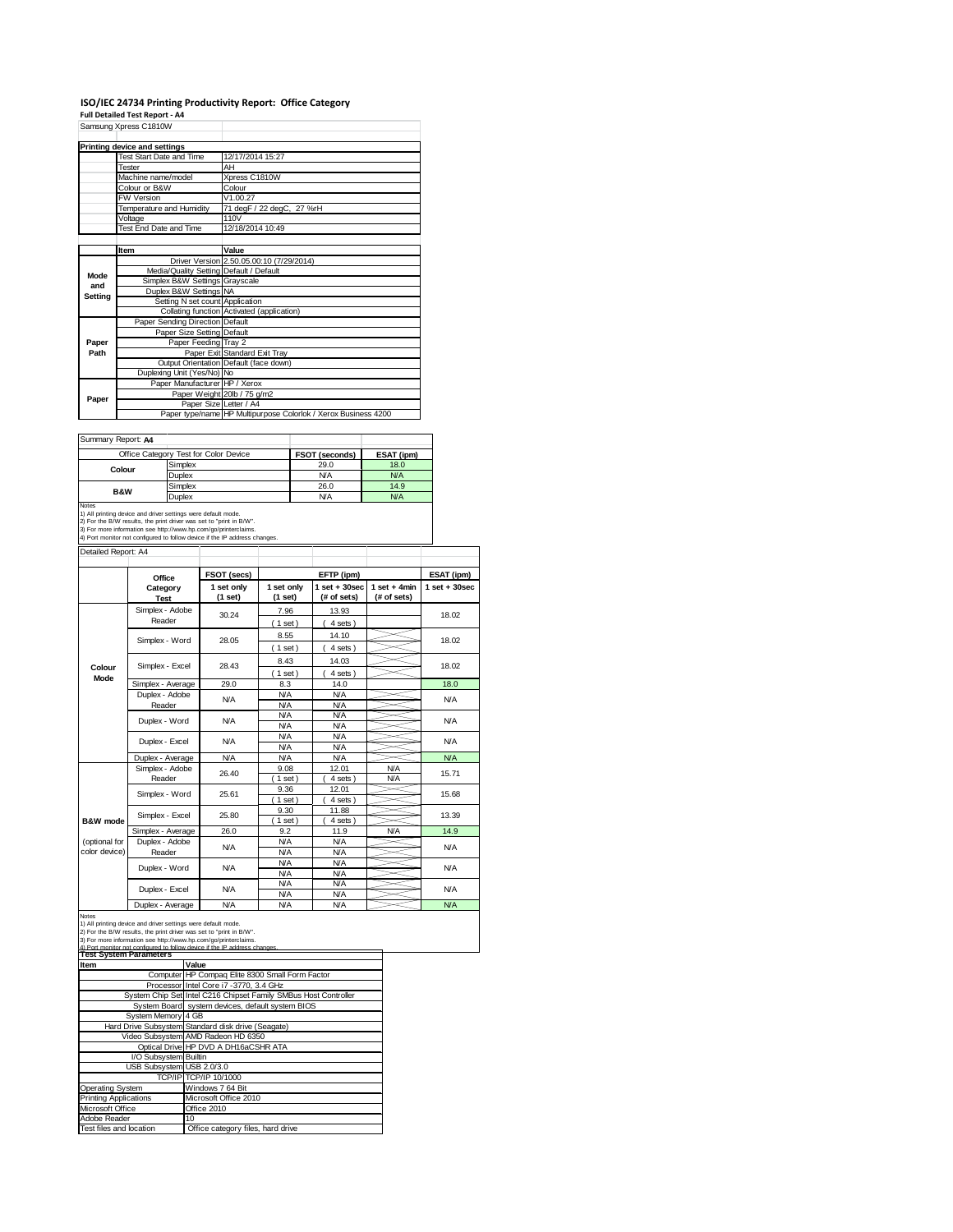## **ISO/IEC 24734 Printing Productivity Report: Office Category Full Detailed Test Report ‐ A4** Samsung Xpress C1810W

|         | Samsung Apress C1810W                   |                                                                |  |
|---------|-----------------------------------------|----------------------------------------------------------------|--|
|         |                                         |                                                                |  |
|         | Printing device and settings            |                                                                |  |
|         | Test Start Date and Time                | 12/17/2014 15:27                                               |  |
|         | Tester                                  | AH                                                             |  |
|         | Machine name/model                      | Xpress C1810W                                                  |  |
|         | Colour or B&W                           | Colour                                                         |  |
|         | <b>FW Version</b>                       | V1.00.27                                                       |  |
|         | Temperature and Humidity                | 71 degF / 22 degC, 27 %rH                                      |  |
|         | Voltage                                 | 110V                                                           |  |
|         | Test End Date and Time                  | 12/18/2014 10:49                                               |  |
|         |                                         |                                                                |  |
|         | Item                                    | Value                                                          |  |
|         |                                         | Driver Version 2.50.05.00:10 (7/29/2014)                       |  |
| Mode    | Media/Quality Setting Default / Default |                                                                |  |
| and     | Simplex B&W Settings Grayscale          |                                                                |  |
| Setting | Duplex B&W Settings NA                  |                                                                |  |
|         | Setting N set count Application         |                                                                |  |
|         |                                         | Collating function Activated (application)                     |  |
|         | Paper Sending Direction Default         |                                                                |  |
|         | Paper Size Setting Default              |                                                                |  |
| Paper   | Paper Feeding Tray 2                    |                                                                |  |
| Path    |                                         | Paper Exit Standard Exit Tray                                  |  |
|         |                                         | Output Orientation Default (face down)                         |  |
|         | Duplexing Unit (Yes/No) No              |                                                                |  |
|         | Paper Manufacturer HP / Xerox           |                                                                |  |
| Paper   |                                         | Paper Weight 20lb / 75 g/m2                                    |  |
|         | Paper Size Letter / A4                  |                                                                |  |
|         |                                         | Paper type/name HP Multipurpose Colorlok / Xerox Business 4200 |  |

| Summary Report: A4 |                                       |                       |            |
|--------------------|---------------------------------------|-----------------------|------------|
|                    | Office Category Test for Color Device | <b>FSOT (seconds)</b> | ESAT (ipm) |
| Colour             | Simplex                               | 29.0                  | 18.0       |
|                    | Duplex                                | <b>N/A</b>            | <b>N/A</b> |
| <b>B&amp;W</b>     | Simplex                               | 26.0                  | 14.9       |
|                    | Duplex                                | <b>N/A</b>            | <b>N/A</b> |

Notes<br>1) All printing device and driver settings were default mode.<br>2) For the B/W results, the print driver was set to "print in B/W".<br>3) For more information see http://www.hp.com/go/printerclaims.<br>4) Port monitor not co

Detailed Report: A4

|                                | Office                    | FSOT (secs)             |                          | EFTP (ipm)                       |                               | ESAT (ipm)        |
|--------------------------------|---------------------------|-------------------------|--------------------------|----------------------------------|-------------------------------|-------------------|
|                                | Category<br><b>Test</b>   | 1 set only<br>$(1$ set) | 1 set only<br>$(1$ set)  | $1$ set $+30$ sec<br>(# of sets) | $1$ set + 4min<br>(# of sets) | $1$ set $+30$ sec |
|                                | Simplex - Adobe<br>Reader | 30.24                   | 7.96<br>$1$ set)         | 13.93<br>4 sets)                 |                               | 18.02             |
|                                | Simplex - Word            | 28.05                   | 8.55<br>$1$ set)         | 14.10<br>4 sets )                |                               | 18.02             |
| Colour<br>Mode                 | Simplex - Excel           | 28.43                   | 8.43<br>$1$ set)         | 14.03<br>4 sets)                 |                               | 18.02             |
|                                | Simplex - Average         | 29.0                    | 8.3                      | 14.0                             |                               | 18.0              |
|                                | Duplex - Adobe<br>Reader  | <b>N/A</b>              | <b>N/A</b><br><b>N/A</b> | <b>N/A</b><br><b>N/A</b>         |                               | <b>N/A</b>        |
|                                | Duplex - Word             | <b>N/A</b>              | <b>N/A</b><br><b>N/A</b> | <b>N/A</b><br><b>N/A</b>         |                               | <b>N/A</b>        |
|                                | Duplex - Excel            | N/A                     | <b>N/A</b><br><b>N/A</b> | <b>N/A</b><br><b>N/A</b>         |                               | <b>N/A</b>        |
|                                | Duplex - Average          | <b>N/A</b>              | <b>N/A</b>               | <b>N/A</b>                       |                               | <b>N/A</b>        |
|                                | Simplex - Adobe<br>Reader | 26.40                   | 9.08<br>$1$ set)         | 12.01<br>4 sets)                 | <b>N/A</b><br><b>N/A</b>      | 15.71             |
|                                | Simplex - Word            | 25.61                   | 9.36<br>$1$ set)         | 12.01<br>4 sets                  |                               | 15.68             |
| B&W mode                       | Simplex - Excel           | 25.80                   | 9.30<br>$1$ set)         | 11.88<br>4 sets)                 |                               | 13.39             |
|                                | Simplex - Average         | 26.0                    | 9.2                      | 11.9                             | N/A                           | 14.9              |
| (optional for<br>color device) | Duplex - Adobe<br>Reader  | <b>N/A</b>              | <b>N/A</b><br><b>N/A</b> | <b>N/A</b><br><b>N/A</b>         |                               | <b>N/A</b>        |
|                                | Duplex - Word             | <b>N/A</b>              | <b>N/A</b><br><b>N/A</b> | <b>N/A</b><br><b>N/A</b>         |                               | <b>N/A</b>        |
|                                | Duplex - Excel            | N/A                     | <b>N/A</b><br><b>N/A</b> | <b>N/A</b><br><b>N/A</b>         |                               | <b>N/A</b>        |
|                                | Dombar Armanas            | <b>AI/A</b>             | <b>NIA</b>               | <b>AI/A</b>                      |                               | <b>NIA</b>        |

Notes<br>
Notes<br>
1) All printing device and driver settings were default mode.<br>
2) For the BAV results, the print driver was set to "print in BAV".<br>
2) For the BAV results, the print driver was set to "print in BAV".<br>
4) Part

| Item                         | Value                                                           |
|------------------------------|-----------------------------------------------------------------|
|                              | Computer HP Compaq Elite 8300 Small Form Factor                 |
|                              | Processor Intel Core i7 -3770, 3.4 GHz                          |
|                              | System Chip Set Intel C216 Chipset Family SMBus Host Controller |
|                              | System Board system devices, default system BIOS                |
| System Memory 4 GB           |                                                                 |
|                              | Hard Drive Subsystem Standard disk drive (Seagate)              |
|                              | Video Subsystem AMD Radeon HD 6350                              |
|                              | Optical Drive HP DVD A DH16aCSHR ATA                            |
| I/O Subsystem Builtin        |                                                                 |
| USB Subsystem USB 2.0/3.0    |                                                                 |
|                              | TCP/IP TCP/IP 10/1000                                           |
| <b>Operating System</b>      | Windows 7 64 Bit                                                |
| <b>Printing Applications</b> | Microsoft Office 2010                                           |
| Microsoft Office             | Office 2010                                                     |
| Adobe Reader                 | 10 <sup>1</sup>                                                 |
| Test files and location      | Office category files, hard drive                               |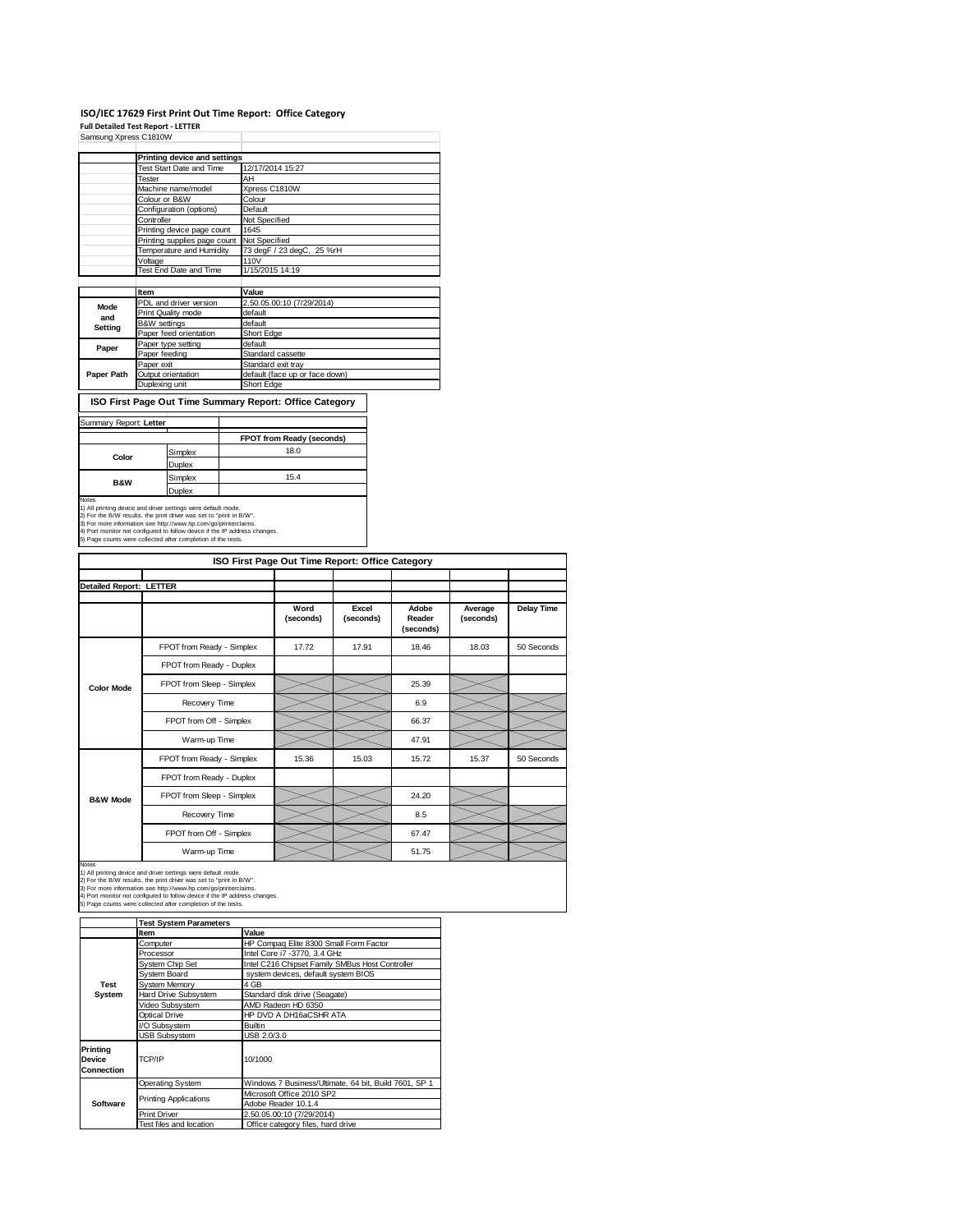## **ISO/IEC 17629 First Print Out Time Report: Office Category**

**Full Detailed Test Report ‐ LETTER** Samsung Xpress C1810W

|            | Printing device and settings |                                |  |  |
|------------|------------------------------|--------------------------------|--|--|
|            | Test Start Date and Time     | 12/17/2014 15:27               |  |  |
|            | Tester                       | AH                             |  |  |
|            | Machine name/model           | Xpress C1810W                  |  |  |
|            | Colour or B&W                | Colour                         |  |  |
|            | Configuration (options)      | Default                        |  |  |
|            | Controller                   | Not Specified                  |  |  |
|            | Printing device page count   | 1645                           |  |  |
|            | Printing supplies page count | Not Specified                  |  |  |
|            | Temperature and Humidity     | 73 degF / 23 degC, 25 %rH      |  |  |
|            | Voltage                      | 110V                           |  |  |
|            | Test End Date and Time       | 1/15/2015 14:19                |  |  |
|            |                              |                                |  |  |
|            | Item                         | Value                          |  |  |
| Mode       | PDL and driver version       | 2.50.05.00:10 (7/29/2014)      |  |  |
| and        | Print Quality mode           | default                        |  |  |
| Setting    | <b>B&amp;W</b> settings      | default                        |  |  |
|            | Paper feed orientation       | Short Edge                     |  |  |
| Paper      | Paper type setting           | default                        |  |  |
|            | Paper feeding                | Standard cassette              |  |  |
|            | Paper exit                   | Standard exit tray             |  |  |
| Paper Path | Output orientation           | default (face up or face down) |  |  |
|            | Duplexing unit               | Short Edge                     |  |  |

**ISO First Page Out Time Summary Report: Office Category**

| FPOT from Ready (seconds)                                                                                                                                                                                                                                                                                                                             |
|-------------------------------------------------------------------------------------------------------------------------------------------------------------------------------------------------------------------------------------------------------------------------------------------------------------------------------------------------------|
|                                                                                                                                                                                                                                                                                                                                                       |
| 18.0                                                                                                                                                                                                                                                                                                                                                  |
|                                                                                                                                                                                                                                                                                                                                                       |
| 15.4                                                                                                                                                                                                                                                                                                                                                  |
|                                                                                                                                                                                                                                                                                                                                                       |
| 1) All printing device and driver settings were default mode.<br>2) For the B/W results, the print driver was set to "print in B/W".<br>3) For more information see http://www.hp.com/go/printerclaims.<br>4) Port monitor not configured to follow device if the IP address changes.<br>5) Page counts were collected after completion of the tests. |
|                                                                                                                                                                                                                                                                                                                                                       |

|                                | ISO First Page Out Time Report: Office Category |                   |                    |                              |                      |                   |
|--------------------------------|-------------------------------------------------|-------------------|--------------------|------------------------------|----------------------|-------------------|
| <b>Detailed Report: LETTER</b> |                                                 |                   |                    |                              |                      |                   |
|                                |                                                 | Word<br>(seconds) | Excel<br>(seconds) | Adobe<br>Reader<br>(seconds) | Average<br>(seconds) | <b>Delay Time</b> |
|                                | FPOT from Ready - Simplex                       | 17.72             | 17.91              | 18.46                        | 18.03                | 50 Seconds        |
|                                | FPOT from Ready - Duplex                        |                   |                    |                              |                      |                   |
| <b>Color Mode</b>              | FPOT from Sleep - Simplex                       |                   |                    | 25.39                        |                      |                   |
|                                | Recovery Time                                   |                   |                    | 6.9                          |                      |                   |
|                                | FPOT from Off - Simplex                         |                   |                    | 66.37                        |                      |                   |
|                                | Warm-up Time                                    |                   |                    | 47.91                        |                      |                   |
|                                | FPOT from Ready - Simplex                       | 15.36             | 15.03              | 15.72                        | 15.37                | 50 Seconds        |
|                                | FPOT from Ready - Duplex                        |                   |                    |                              |                      |                   |
| <b>B&amp;W Mode</b>            | FPOT from Sleep - Simplex                       |                   |                    | 24.20                        |                      |                   |
|                                | Recovery Time                                   |                   |                    | 8.5                          |                      |                   |
|                                | FPOT from Off - Simplex                         |                   |                    | 67.47                        |                      |                   |
|                                | Warm-up Time                                    |                   |                    | 51.75                        |                      |                   |

**Software**

Printing Applications

Notes<br>1) All printing device and driver settings were default mode.<br>2) For the BAV results, the print driver was set to "print in BAW".<br>3) For more information see http://www.hp.com/go/printerclaims.<br>4) Port monitor not co **Item Value Value<br>20 Computer Compaq Elite 8300 Small Form Factor<br>Processor Intel Core i7 -3770, 3.4 GHz** System Chip Set Intel C216 Chipset Family SMBus Host Controller System Board system devices, default system BIOS<br>System Memory 4 GB System Memory Hard Drive Subsystem<br>Hard Drive Subsystem Standard disk drive (Seagate)<br>Video Subsystem AMD Radeon HD 6350 AMD Radeon HD 6350 Optical Drive HP DVD A DH16aCSHR ATA<br>
C Subsystem Builtin<br>
USB Subsystem USB 2.0/3.0 IO Subsystem **SB Subsystem** Operating System Windows 7 Business/Ultimate, 64 bit, Build 7601, SP 1 **Test System Test System Parameters Printing Device Connection** TCP/IP 10/1000

Print Driver 2.50.05.00:10 (7/29/2014)<br>Test files and location Chice category files, hard

Microsoft Office 2010 SP2 Adobe Reader 10.1.4

Office category files, hard drive